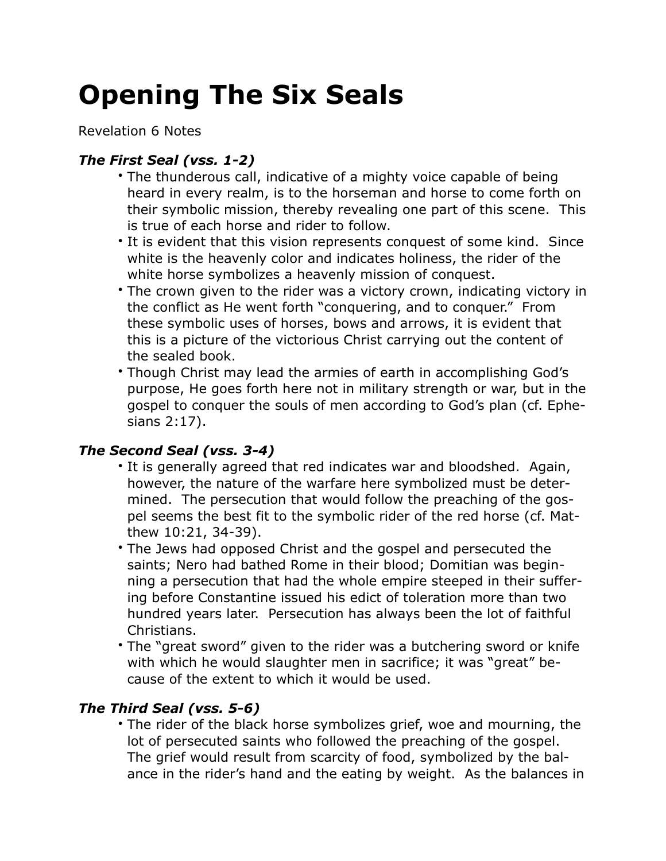# **Opening The Six Seals**

Revelation 6 Notes

# *The First Seal (vss. 1-2)*

- The thunderous call, indicative of a mighty voice capable of being heard in every realm, is to the horseman and horse to come forth on their symbolic mission, thereby revealing one part of this scene. This is true of each horse and rider to follow.
- It is evident that this vision represents conquest of some kind. Since white is the heavenly color and indicates holiness, the rider of the white horse symbolizes a heavenly mission of conquest.
- The crown given to the rider was a victory crown, indicating victory in the conflict as He went forth "conquering, and to conquer." From these symbolic uses of horses, bows and arrows, it is evident that this is a picture of the victorious Christ carrying out the content of the sealed book.
- Though Christ may lead the armies of earth in accomplishing God's purpose, He goes forth here not in military strength or war, but in the gospel to conquer the souls of men according to God's plan (cf. Ephesians 2:17).

## *The Second Seal (vss. 3-4)*

- It is generally agreed that red indicates war and bloodshed. Again, however, the nature of the warfare here symbolized must be determined. The persecution that would follow the preaching of the gospel seems the best fit to the symbolic rider of the red horse (cf. Matthew 10:21, 34-39).
- The Jews had opposed Christ and the gospel and persecuted the saints; Nero had bathed Rome in their blood; Domitian was beginning a persecution that had the whole empire steeped in their suffering before Constantine issued his edict of toleration more than two hundred years later. Persecution has always been the lot of faithful Christians.
- The "great sword" given to the rider was a butchering sword or knife with which he would slaughter men in sacrifice; it was "great" because of the extent to which it would be used.

# *The Third Seal (vss. 5-6)*

• The rider of the black horse symbolizes grief, woe and mourning, the lot of persecuted saints who followed the preaching of the gospel. The grief would result from scarcity of food, symbolized by the balance in the rider's hand and the eating by weight. As the balances in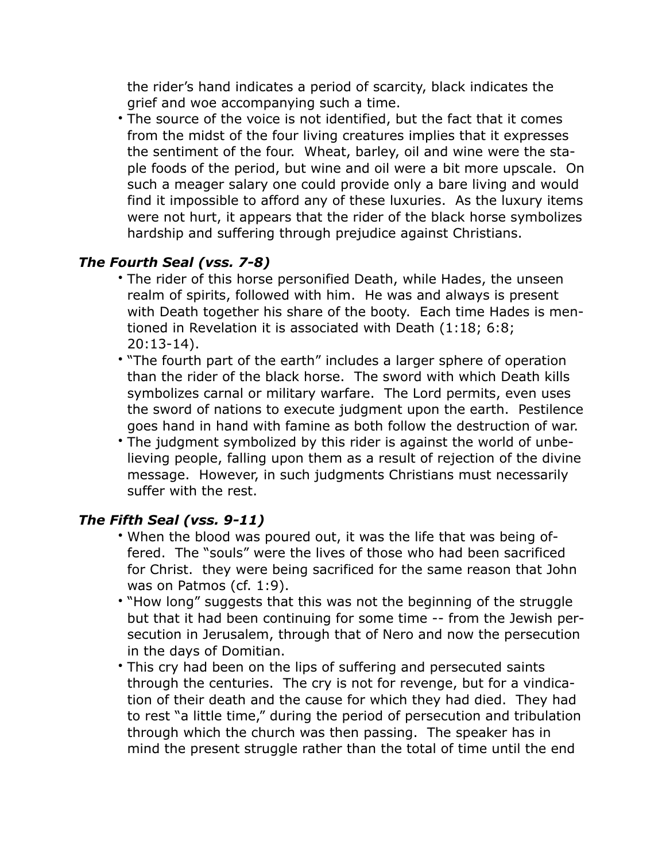the rider's hand indicates a period of scarcity, black indicates the grief and woe accompanying such a time.

• The source of the voice is not identified, but the fact that it comes from the midst of the four living creatures implies that it expresses the sentiment of the four. Wheat, barley, oil and wine were the staple foods of the period, but wine and oil were a bit more upscale. On such a meager salary one could provide only a bare living and would find it impossible to afford any of these luxuries. As the luxury items were not hurt, it appears that the rider of the black horse symbolizes hardship and suffering through prejudice against Christians.

### *The Fourth Seal (vss. 7-8)*

- The rider of this horse personified Death, while Hades, the unseen realm of spirits, followed with him. He was and always is present with Death together his share of the booty. Each time Hades is mentioned in Revelation it is associated with Death (1:18; 6:8; 20:13-14).
- "The fourth part of the earth" includes a larger sphere of operation than the rider of the black horse. The sword with which Death kills symbolizes carnal or military warfare. The Lord permits, even uses the sword of nations to execute judgment upon the earth. Pestilence goes hand in hand with famine as both follow the destruction of war.
- The judgment symbolized by this rider is against the world of unbelieving people, falling upon them as a result of rejection of the divine message. However, in such judgments Christians must necessarily suffer with the rest.

#### *The Fifth Seal (vss. 9-11)*

- When the blood was poured out, it was the life that was being offered. The "souls" were the lives of those who had been sacrificed for Christ. they were being sacrificed for the same reason that John was on Patmos (cf. 1:9).
- "How long" suggests that this was not the beginning of the struggle but that it had been continuing for some time -- from the Jewish persecution in Jerusalem, through that of Nero and now the persecution in the days of Domitian.
- This cry had been on the lips of suffering and persecuted saints through the centuries. The cry is not for revenge, but for a vindication of their death and the cause for which they had died. They had to rest "a little time," during the period of persecution and tribulation through which the church was then passing. The speaker has in mind the present struggle rather than the total of time until the end